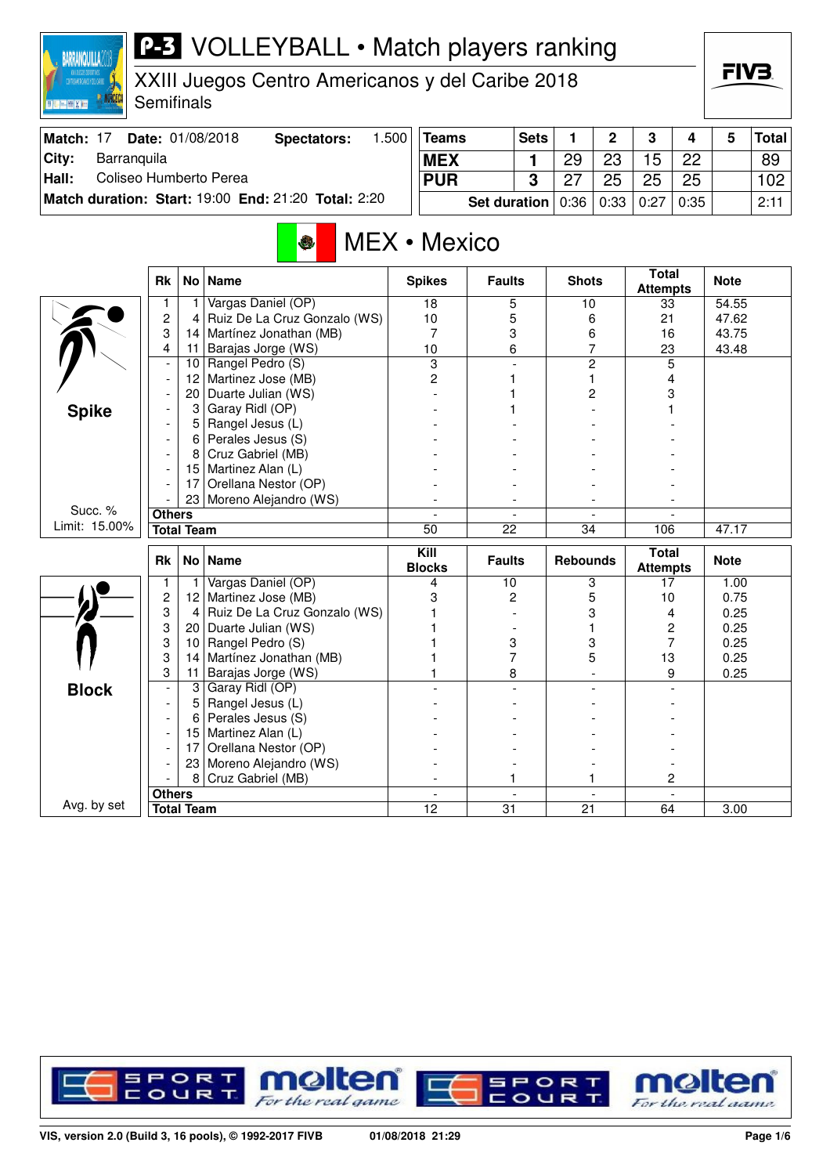## P-3 VOLLEYBALL • Match players ranking **BARRANQUILLAZON** FIV3. XXIII Juegos Centro Americanos y del Caribe 2018 **Semifinals BOULDER AND STATE Teams** Sets 1 2 3 4 5 Total **Match: 17 Date: 01/08/2018 Spectators: 1.500 City: Barranquila 1** 29 23 15 22 89 **MEX Hall:** Coliseo Humberto Perea **PUR 3** 27 25 25 25 102 **Match duration: Start:** 19:00 **End:** 21:20 **Total:** 2:20 **Set duration** 0:36 0:33 0:27 0:35 2:11 MEX • Mexico **Attempts Note Rk No Name Spikes Faults Shots Total** 1 1 Vargas Daniel (OP) 18 5 10 33 54.55<br>
2 4 Ruiz De La Cruz Gonzalo (WS) 10 5 6 21 47.62 2 4 Ruiz De La Cruz Gonzalo (WS) 10 5 6 21 47.62

3 14 Martínez Jonathan (MB) 7 3 6 16 43.75 11 Barajas Jorge (WS) 10 10 6 7 23 10 Rangel Pedro (S) 3 - 2 5  $-$  12 Martinez Jose (MB) 2 1 1 1 4 - 20 Duarte Julian (WS) - 1 2 3<br>- 3 Garay Ridl (OP) - 1 3 Garay 1 1 - 3 Garay Ridl (OP) - 1 - 1  $-$  5 Rangel Jesus (L)  $-$  -  $-$  -  $-$  -  $-$  -  $-$  -  $-$  -  $-$  -  $-$  -  $-$  -  $-$  -  $-$  -  $-$  -  $-$  -  $-$  -  $-$  -  $-$  -  $-$  -  $-$  -  $-$  -  $-$  -  $-$  -  $-$  -  $-$  -  $-$  -  $-$  -  $-$  -  $-$  -  $-$  -  $-$  -  $-$  -  $-$  -  $-$  -  $-$  -  $-$  6 Perales Jesus (S)  $-$ - 8 Cruz Gabriel (MB) - - - -

|               |                        | 17                | Orellana Nestor (OP)         |               |                 |                          |              |       |
|---------------|------------------------|-------------------|------------------------------|---------------|-----------------|--------------------------|--------------|-------|
|               |                        | 23 <sub>1</sub>   | Moreno Alejandro (WS)        |               |                 |                          |              |       |
| Succ. %       | <b>Others</b>          |                   |                              |               |                 |                          |              |       |
| Limit: 15.00% |                        | <b>Total Team</b> |                              | 50            | 22              | 34                       | 106          | 47.17 |
|               | <b>Rk</b><br>No   Name |                   | Kill<br><b>Blocks</b>        | <b>Faults</b> | <b>Rebounds</b> | Total<br><b>Attempts</b> | <b>Note</b>  |       |
|               |                        |                   | Vargas Daniel (OP)           |               | 10              | 3                        | 17           | 1.00  |
|               | 2                      | 12                | Martinez Jose (MB)           |               | 2               | 5                        | 10           | 0.75  |
|               | 3                      | 4                 | Ruiz De La Cruz Gonzalo (WS) |               |                 |                          | 4            | 0.25  |
|               | 3                      | 20                | Duarte Julian (WS)           |               |                 |                          | 2            | 0.25  |
|               | 3<br>10                |                   | Rangel Pedro (S)             |               | 3               | 3                        |              | 0.25  |
|               | 3                      | 14                | Martínez Jonathan (MB)       |               |                 | 5                        | 13           | 0.25  |
|               | 3                      | 11                | Barajas Jorge (WS)           |               | 8               |                          | 9            | 0.25  |
| <b>Block</b>  |                        | 3                 | Garay Ridl (OP)              |               |                 |                          |              |       |
|               |                        | 5                 | Rangel Jesus (L)             |               |                 |                          |              |       |
|               |                        | 6                 | Perales Jesus (S)            |               |                 |                          |              |       |
|               |                        | 15 <sup>1</sup>   | Martinez Alan (L)            |               |                 |                          |              |       |
|               |                        | 17                | Orellana Nestor (OP)         |               |                 |                          |              |       |
|               |                        | 23 <sub>1</sub>   | Moreno Alejandro (WS)        |               |                 |                          |              |       |
|               |                        | 8                 | Cruz Gabriel (MB)            |               |                 |                          | $\mathbf{2}$ |       |
|               | <b>Others</b>          |                   |                              |               |                 |                          |              |       |
| Avg. by set   |                        | <b>Total Team</b> |                              | 12            | 31              | 21                       | 64           | 3.00  |



15 | Martinez Alan  $(L)$ 

 $\sum_{n=1}^{\infty}$ 

**Spike**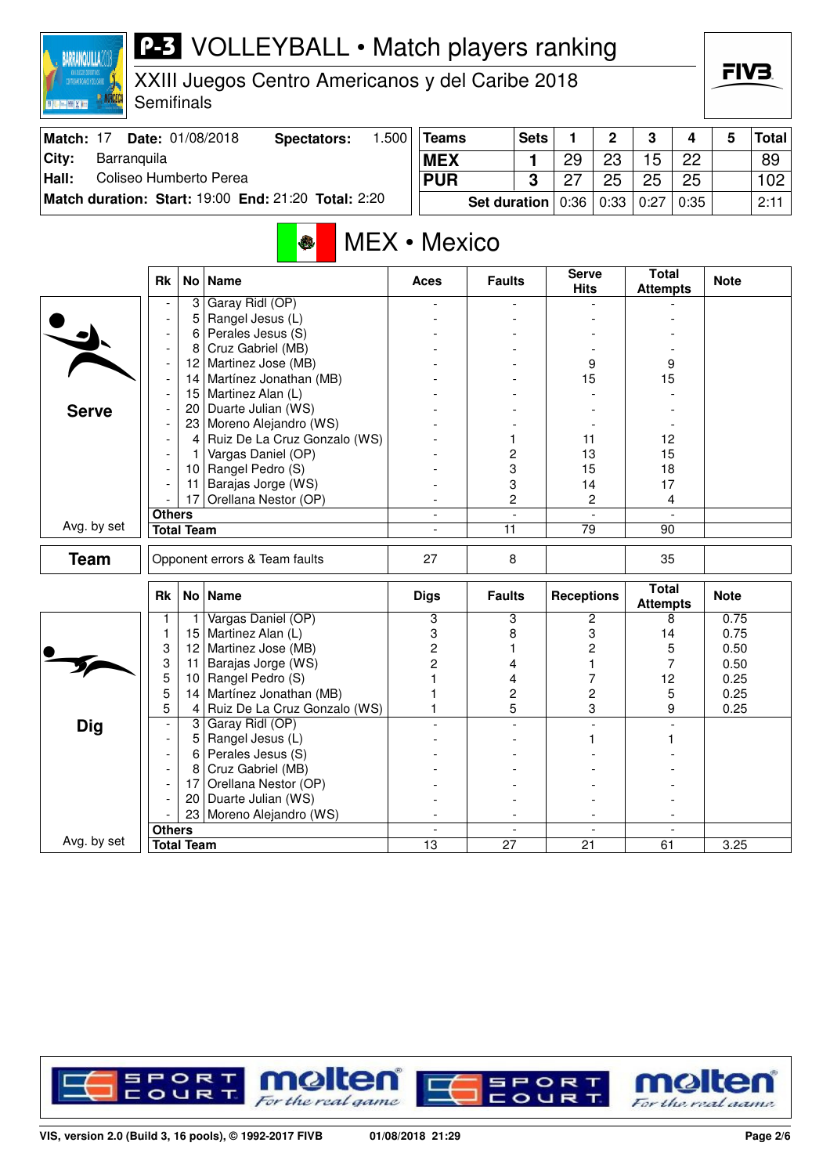| <b>P-3</b> VOLLEYBALL • Match players ranking<br>BARRANQUILLA<br>XXIII Juegos Centro Americanos y del Caribe 2018<br>Semifinals<br><b>I Read for Line Card</b> |               |                                                 |                                            |   |                 |                 |                |                   |                          |                                 |    | FIV3.        |              |  |
|----------------------------------------------------------------------------------------------------------------------------------------------------------------|---------------|-------------------------------------------------|--------------------------------------------|---|-----------------|-----------------|----------------|-------------------|--------------------------|---------------------------------|----|--------------|--------------|--|
| Match: 17                                                                                                                                                      |               | 1.500<br>Date: 01/08/2018<br><b>Spectators:</b> |                                            |   | <b>Teams</b>    | <b>Sets</b>     |                | 1                 | $\mathbf{2}$             | 3<br>4                          |    | 5            | <b>Total</b> |  |
| Barranquila<br>City:                                                                                                                                           |               |                                                 |                                            |   | <b>MEX</b>      |                 | 1              | 29                | 23                       | 15                              | 22 |              | 89           |  |
| Coliseo Humberto Perea<br>Hall:                                                                                                                                |               | <b>PUR</b>                                      |                                            | 3 | 27              | 25              | 25             | 25                |                          | 102 <sub>2</sub>                |    |              |              |  |
| Match duration: Start: 19:00 End: 21:20 Total: 2:20                                                                                                            |               |                                                 | <b>Set duration</b>                        |   | 0:36            | 0:33            | 0:27           | 0:35              |                          | 2:11                            |    |              |              |  |
|                                                                                                                                                                |               |                                                 | $\bullet$                                  |   | MEX • Mexico    |                 |                | <b>Serve</b>      |                          | <b>Total</b>                    |    |              |              |  |
|                                                                                                                                                                | Rk            | No <sub>1</sub>                                 | Name                                       |   | Aces            | <b>Faults</b>   |                | <b>Hits</b>       |                          | <b>Attempts</b>                 |    | <b>Note</b>  |              |  |
|                                                                                                                                                                |               | 3                                               | Garay Ridl (OP)<br>Rangel Jesus (L)        |   |                 |                 |                |                   |                          |                                 |    |              |              |  |
|                                                                                                                                                                |               | 6                                               | Perales Jesus (S)                          |   |                 |                 |                |                   |                          |                                 |    |              |              |  |
|                                                                                                                                                                |               | 8                                               | Cruz Gabriel (MB)                          |   |                 |                 |                |                   |                          |                                 |    |              |              |  |
|                                                                                                                                                                |               | 12                                              | Martinez Jose (MB)                         |   |                 |                 |                |                   | 9                        | 9                               |    |              |              |  |
|                                                                                                                                                                |               | 14 Martínez Jonathan (MB)                       |                                            |   |                 |                 |                |                   | 15                       | 15                              |    |              |              |  |
|                                                                                                                                                                |               | 15                                              | Martinez Alan (L)                          |   |                 |                 |                |                   |                          |                                 |    |              |              |  |
| <b>Serve</b>                                                                                                                                                   |               | 20 <sub>1</sub>                                 | Duarte Julian (WS)                         |   |                 |                 |                |                   |                          |                                 |    |              |              |  |
|                                                                                                                                                                |               |                                                 | 23 Moreno Alejandro (WS)                   |   |                 |                 |                |                   |                          |                                 |    |              |              |  |
|                                                                                                                                                                |               | $\overline{4}$                                  | Ruiz De La Cruz Gonzalo (WS)               |   |                 |                 |                | 11                |                          | 12                              |    |              |              |  |
|                                                                                                                                                                |               |                                                 | Vargas Daniel (OP)                         |   |                 | 2               |                | 13                |                          | 15                              |    |              |              |  |
|                                                                                                                                                                |               | 10                                              | Rangel Pedro (S)                           |   |                 | 3               |                | 15                |                          | 18                              |    |              |              |  |
|                                                                                                                                                                |               | 11<br>17                                        | Barajas Jorge (WS)<br>Orellana Nestor (OP) |   |                 | 3<br>2          |                | 14                | 2                        | 17                              |    |              |              |  |
|                                                                                                                                                                | <b>Others</b> |                                                 |                                            |   |                 |                 |                |                   |                          | 4                               |    |              |              |  |
| Avg. by set                                                                                                                                                    |               | <b>Total Team</b>                               |                                            |   | L,              |                 | 11<br>79       |                   |                          | 90                              |    |              |              |  |
|                                                                                                                                                                |               |                                                 |                                            |   |                 |                 |                |                   |                          |                                 |    |              |              |  |
| <b>Team</b>                                                                                                                                                    |               |                                                 | Opponent errors & Team faults              |   | 27              | 8               |                |                   |                          | 35                              |    |              |              |  |
|                                                                                                                                                                | <b>Rk</b>     | No <sub>1</sub>                                 | <b>Name</b>                                |   | <b>Digs</b>     | <b>Faults</b>   |                | <b>Receptions</b> |                          | <b>Total</b><br><b>Attempts</b> |    | <b>Note</b>  |              |  |
|                                                                                                                                                                |               |                                                 | Vargas Daniel (OP)                         |   | 3               |                 | 3              |                   | 2                        |                                 | 8  | 0.75         |              |  |
|                                                                                                                                                                | 1             | 15                                              | Martinez Alan (L)                          |   | 3               | 8               |                |                   | 3                        | 14                              |    | 0.75         |              |  |
|                                                                                                                                                                | 3             | 12                                              | Martinez Jose (MB)                         |   | 2               | 1               |                |                   | 2                        |                                 | 5  | 0.50         |              |  |
|                                                                                                                                                                | 3<br>5        | 11<br>10                                        | Barajas Jorge (WS)<br>Rangel Pedro (S)     |   | 2               | 4<br>4          |                |                   | 1<br>7                   | 12                              | 7  | 0.50<br>0.25 |              |  |
|                                                                                                                                                                | 5             | 14                                              | Martínez Jonathan (MB)                     |   |                 |                 | $\overline{c}$ |                   | 2                        |                                 | 5  | 0.25         |              |  |
|                                                                                                                                                                | 5             | 4                                               | Ruiz De La Cruz Gonzalo (WS)               |   |                 |                 | 5              |                   | 3                        |                                 | 9  | 0.25         |              |  |
| <b>Dig</b>                                                                                                                                                     |               | 3                                               | Garay Ridl (OP)                            |   |                 |                 |                |                   |                          |                                 |    |              |              |  |
|                                                                                                                                                                |               |                                                 | Rangel Jesus (L)                           |   |                 |                 |                |                   | 1                        |                                 | 1. |              |              |  |
|                                                                                                                                                                |               |                                                 | Perales Jesus (S)                          |   |                 |                 |                |                   |                          |                                 |    |              |              |  |
|                                                                                                                                                                |               | 8                                               | Cruz Gabriel (MB)                          |   |                 |                 |                |                   |                          |                                 |    |              |              |  |
|                                                                                                                                                                |               | 17                                              | Orellana Nestor (OP)                       |   |                 |                 |                |                   |                          |                                 |    |              |              |  |
|                                                                                                                                                                |               | 20                                              | Duarte Julian (WS)                         |   |                 |                 |                |                   |                          |                                 |    |              |              |  |
|                                                                                                                                                                |               | 23                                              | Moreno Alejandro (WS)                      |   |                 |                 |                |                   |                          |                                 |    |              |              |  |
| Avg. by set                                                                                                                                                    | <b>Others</b> |                                                 |                                            |   |                 | $\overline{27}$ |                |                   | $\overline{\phantom{a}}$ |                                 |    |              |              |  |
|                                                                                                                                                                |               | <b>Total Team</b>                               |                                            |   | $\overline{13}$ |                 |                | $\overline{21}$   |                          | 61                              |    | 3.25         |              |  |

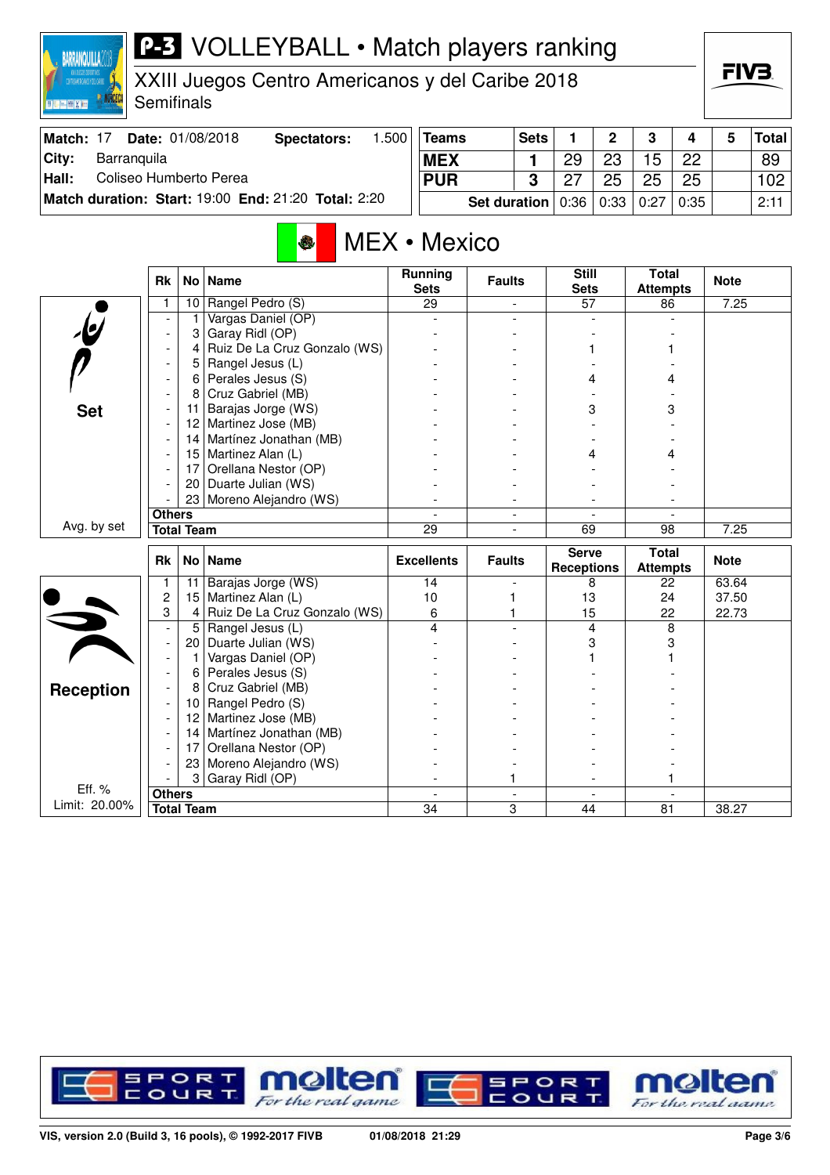## **P-3** VOLLEYBALL • Match players ranking

XXIII Juegos Centro Americanos y del Caribe 2018

**Semifinals RANGEC** 

**BARRANQUILLA2018** 

**EN MIX IN** 

| Match: 17 | <b>Date: 01/08/2018</b>                             | Spectators: | .500 | Teams                                          | <b>Sets</b> |    | $\overline{2}$ | 3  |         | <b>Total</b> |
|-----------|-----------------------------------------------------|-------------|------|------------------------------------------------|-------------|----|----------------|----|---------|--------------|
| City:     | Barranguila                                         |             |      | <b>MEX</b>                                     |             | 29 | 23             | 15 | 22      | 89           |
| Hall:     | Coliseo Humberto Perea                              |             |      | <b>PUR</b>                                     |             |    | 25             | 25 | 25      | 102          |
|           | Match duration: Start: 19:00 End: 21:20 Total: 2:20 |             |      | <b>Set duration</b>   $0.36$   $0.33$   $0.27$ |             |    |                |    | $+0:35$ | 2:11         |

## MEX • Mexico

|                         | <b>Rk</b>                |                   | No   Name                    | <b>Running</b><br><b>Sets</b> | <b>Faults</b>  | <b>Still</b><br><b>Sets</b> | <b>Total</b><br><b>Attempts</b> | <b>Note</b> |
|-------------------------|--------------------------|-------------------|------------------------------|-------------------------------|----------------|-----------------------------|---------------------------------|-------------|
|                         |                          | 10                | Rangel Pedro (S)             | 29                            | $\blacksquare$ | 57                          | 86                              | 7.25        |
|                         |                          | 1                 | Vargas Daniel (OP)           |                               |                |                             |                                 |             |
|                         | $\overline{\phantom{a}}$ | 3                 | Garay Ridl (OP)              |                               |                |                             |                                 |             |
|                         | $\overline{\phantom{a}}$ | 4                 | Ruiz De La Cruz Gonzalo (WS) |                               |                |                             |                                 |             |
|                         | $\overline{\phantom{a}}$ | 5                 | Rangel Jesus (L)             |                               |                |                             |                                 |             |
|                         | $\blacksquare$           | 6                 | Perales Jesus (S)            |                               |                | 4                           | 4                               |             |
|                         | $\overline{\phantom{a}}$ | 8                 | Cruz Gabriel (MB)            |                               |                |                             |                                 |             |
| <b>Set</b>              | $\blacksquare$           | 11.               | Barajas Jorge (WS)           |                               |                | 3                           | 3                               |             |
|                         |                          | 12                | Martinez Jose (MB)           |                               |                |                             |                                 |             |
|                         |                          | 14                | Martínez Jonathan (MB)       |                               |                |                             |                                 |             |
|                         | $\blacksquare$           |                   | 15 Martinez Alan (L)         |                               |                | 4                           | 4                               |             |
|                         |                          | 17                | Orellana Nestor (OP)         |                               |                |                             |                                 |             |
|                         |                          | 20                | Duarte Julian (WS)           |                               |                |                             |                                 |             |
|                         |                          |                   | 23 Moreno Alejandro (WS)     |                               |                |                             |                                 |             |
|                         | <b>Others</b>            |                   |                              |                               |                |                             |                                 |             |
| Avg. by set             | <b>Total Team</b>        |                   | $\overline{29}$              |                               | 69             | 98                          | 7.25                            |             |
|                         |                          |                   |                              |                               |                |                             |                                 |             |
|                         |                          |                   |                              |                               |                | <b>Serve</b>                | <b>Total</b>                    |             |
|                         | <b>Rk</b>                |                   | No Name                      | <b>Excellents</b>             | <b>Faults</b>  | <b>Receptions</b>           | <b>Attempts</b>                 | <b>Note</b> |
|                         | 1                        | 11                | Barajas Jorge (WS)           | 14                            |                | 8                           | 22                              | 63.64       |
|                         | 2                        | 15                | Martinez Alan (L)            | 10                            | 1              | 13                          | 24                              | 37.50       |
|                         | 3                        | $\overline{4}$    | Ruiz De La Cruz Gonzalo (WS) | 6                             |                | 15                          | 22                              | 22.73       |
|                         |                          | 5                 | Rangel Jesus (L)             | 4                             |                | 4                           | 8                               |             |
|                         | $\overline{a}$           | 20                | Duarte Julian (WS)           |                               |                | 3                           | 3                               |             |
|                         |                          | $\mathbf{1}$      | Vargas Daniel (OP)           |                               |                |                             |                                 |             |
|                         |                          | 6                 | Perales Jesus (S)            |                               |                |                             |                                 |             |
|                         |                          | 8                 | Cruz Gabriel (MB)            |                               |                |                             |                                 |             |
| <b>Reception</b>        |                          | 10 <sup>1</sup>   | Rangel Pedro (S)             |                               |                |                             |                                 |             |
|                         |                          | 12 <sub>2</sub>   | Martinez Jose (MB)           |                               |                |                             |                                 |             |
|                         |                          | 14                | Martínez Jonathan (MB)       |                               |                |                             |                                 |             |
|                         | $\overline{\phantom{a}}$ | 17                | Orellana Nestor (OP)         |                               |                |                             |                                 |             |
|                         |                          | 23                | Moreno Alejandro (WS)        |                               |                |                             |                                 |             |
|                         |                          | 3                 | Garay Ridl (OP)              |                               |                |                             |                                 |             |
| Eff. %<br>Limit: 20.00% | <b>Others</b>            | <b>Total Team</b> |                              | 34                            | 3              | 44                          | 81                              | 38.27       |



FIV<sub>3</sub>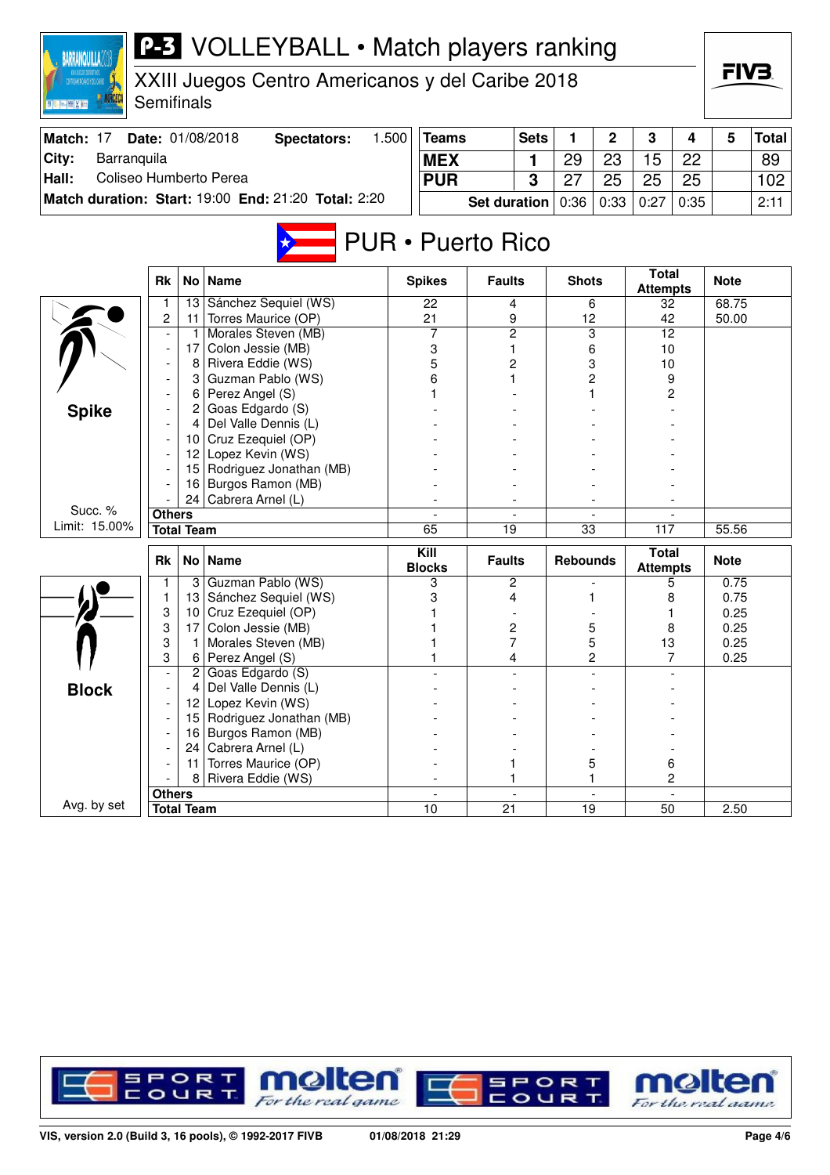| <b>P-3</b> VOLLEYBALL • Match players ranking<br><b>BARRANQUILLA2</b><br>, XXII JUEGOS DOPORTIVOS<br>Ktroamericanos y del carine<br>XXIII Juegos Centro Americanos y del Caribe 2018 |               |                   |                                            |            |                       |                     |             |                 |             |                                 |     |              |       |
|--------------------------------------------------------------------------------------------------------------------------------------------------------------------------------------|---------------|-------------------|--------------------------------------------|------------|-----------------------|---------------------|-------------|-----------------|-------------|---------------------------------|-----|--------------|-------|
| 三侧关闭                                                                                                                                                                                 | Semifinals    |                   |                                            |            |                       |                     |             |                 |             |                                 |     |              |       |
| Match: 17                                                                                                                                                                            |               |                   | Date: 01/08/2018<br><b>Spectators:</b>     | 1.500      | <b>Teams</b>          |                     | <b>Sets</b> | 1               | $\mathbf 2$ | 3                               | 4   | 5            | Total |
| City:<br>Barranquila                                                                                                                                                                 |               |                   |                                            | <b>MEX</b> |                       |                     | 1           | 29              | 23          | 15                              | 22  |              | 89    |
| Coliseo Humberto Perea<br>Hall:                                                                                                                                                      |               |                   |                                            |            | <b>PUR</b>            |                     | 3           | 27              | 25          | 25                              | 25  |              | 102   |
| Match duration: Start: 19:00 End: 21:20 Total: 2:20                                                                                                                                  |               |                   | <b>Set duration</b>                        |            | 0:36                  | 0:33                | 0:27        | 0:35            |             | 2:11                            |     |              |       |
|                                                                                                                                                                                      |               |                   |                                            |            |                       |                     |             |                 |             |                                 |     |              |       |
| <b>PUR • Puerto Rico</b>                                                                                                                                                             |               |                   |                                            |            |                       |                     |             |                 |             |                                 |     |              |       |
|                                                                                                                                                                                      | <b>Rk</b>     | <b>No</b>         | <b>Name</b>                                |            | <b>Spikes</b>         | <b>Faults</b>       |             | <b>Shots</b>    |             | <b>Total</b><br><b>Attempts</b> |     | <b>Note</b>  |       |
|                                                                                                                                                                                      |               | 13                | Sánchez Sequiel (WS)                       |            | 22                    |                     | 4           |                 | 6           | 32                              |     | 68.75        |       |
|                                                                                                                                                                                      | 2             | 11<br>-1          | Torres Maurice (OP)<br>Morales Steven (MB) |            | 21<br>7               | 9<br>$\overline{c}$ |             | 12              |             | 42<br>12                        |     | 50.00        |       |
|                                                                                                                                                                                      |               | 17                | Colon Jessie (MB)                          |            | 3                     | 1                   |             |                 | 3           | 10                              |     |              |       |
|                                                                                                                                                                                      |               | 8                 | Rivera Eddie (WS)                          |            | 5                     | 2                   |             | 6<br>3          |             | 10                              |     |              |       |
|                                                                                                                                                                                      |               | 3                 | Guzman Pablo (WS)                          |            | 6                     | 1                   |             | 2               |             | 9                               |     |              |       |
|                                                                                                                                                                                      |               | 6                 | Perez Angel (S)                            |            |                       |                     |             |                 |             | 2                               |     |              |       |
| <b>Spike</b>                                                                                                                                                                         |               | 2                 | Goas Edgardo (S)                           |            |                       |                     |             |                 |             |                                 |     |              |       |
|                                                                                                                                                                                      |               |                   | Del Valle Dennis (L)                       |            |                       |                     |             |                 |             |                                 |     |              |       |
|                                                                                                                                                                                      |               | 10                | Cruz Ezequiel (OP)                         |            |                       |                     |             |                 |             |                                 |     |              |       |
|                                                                                                                                                                                      |               | 12                | Lopez Kevin (WS)                           |            |                       |                     |             |                 |             |                                 |     |              |       |
|                                                                                                                                                                                      |               | 15                | Rodriguez Jonathan (MB)                    |            |                       |                     |             |                 |             |                                 |     |              |       |
|                                                                                                                                                                                      |               | 16<br>24          | Burgos Ramon (MB)<br>Cabrera Arnel (L)     |            |                       |                     |             |                 |             |                                 |     |              |       |
| Succ. %                                                                                                                                                                              | <b>Others</b> |                   |                                            |            |                       |                     |             |                 |             |                                 |     |              |       |
| Limit: 15.00%                                                                                                                                                                        |               | <b>Total Team</b> |                                            |            | 65                    | $\overline{19}$     |             | 33              |             |                                 | 117 | 55.56        |       |
|                                                                                                                                                                                      |               |                   |                                            |            |                       |                     |             |                 |             |                                 |     |              |       |
|                                                                                                                                                                                      | <b>Rk</b>     | No                | <b>Name</b>                                |            | Kill<br><b>Blocks</b> | <b>Faults</b>       |             | <b>Rebounds</b> |             | <b>Total</b><br><b>Attempts</b> |     | <b>Note</b>  |       |
|                                                                                                                                                                                      | 1.            |                   | 3 Guzman Pablo (WS)                        |            | 3                     |                     | 2           |                 |             |                                 | 5   | 0.75         |       |
|                                                                                                                                                                                      | 1             | 13                | Sánchez Sequiel (WS)                       |            | 3                     | 4                   |             |                 |             |                                 | 8   | 0.75         |       |
|                                                                                                                                                                                      | 3<br>3        | 10<br>17          | Cruz Ezequiel (OP)<br>Colon Jessie (MB)    |            |                       |                     | 2           |                 | 5           | 8                               |     | 0.25<br>0.25 |       |
|                                                                                                                                                                                      | 3             | -1                | Morales Steven (MB)                        |            |                       | 7                   |             |                 | 5           | 13                              |     | 0.25         |       |
|                                                                                                                                                                                      | 3             |                   | 6 Perez Angel $(S)$                        |            |                       |                     |             |                 | 2           |                                 |     | 0.25         |       |
|                                                                                                                                                                                      |               | 2                 | Goas Edgardo (S)                           |            |                       |                     |             |                 |             |                                 |     |              |       |
| <b>Block</b>                                                                                                                                                                         |               |                   | Del Valle Dennis (L)                       |            |                       |                     |             |                 |             |                                 |     |              |       |
|                                                                                                                                                                                      |               | 12                | Lopez Kevin (WS)                           |            |                       |                     |             |                 |             |                                 |     |              |       |
|                                                                                                                                                                                      |               | 15                | Rodriguez Jonathan (MB)                    |            |                       |                     |             |                 |             |                                 |     |              |       |
|                                                                                                                                                                                      |               | 16                | Burgos Ramon (MB)                          |            |                       |                     |             |                 |             |                                 |     |              |       |
|                                                                                                                                                                                      |               | 24 l              | Cabrera Arnel (L)                          |            |                       |                     |             |                 |             |                                 |     |              |       |
|                                                                                                                                                                                      |               | 11<br>8           | Torres Maurice (OP)<br>Rivera Eddie (WS)   |            |                       |                     |             |                 | 5           |                                 | 6   |              |       |
|                                                                                                                                                                                      | <b>Others</b> |                   |                                            |            |                       |                     |             |                 |             |                                 | 2   |              |       |
| Avg. by set                                                                                                                                                                          |               | <b>Total Team</b> |                                            |            | 10                    | 21                  |             | 19              |             | 50                              |     | 2.50         |       |

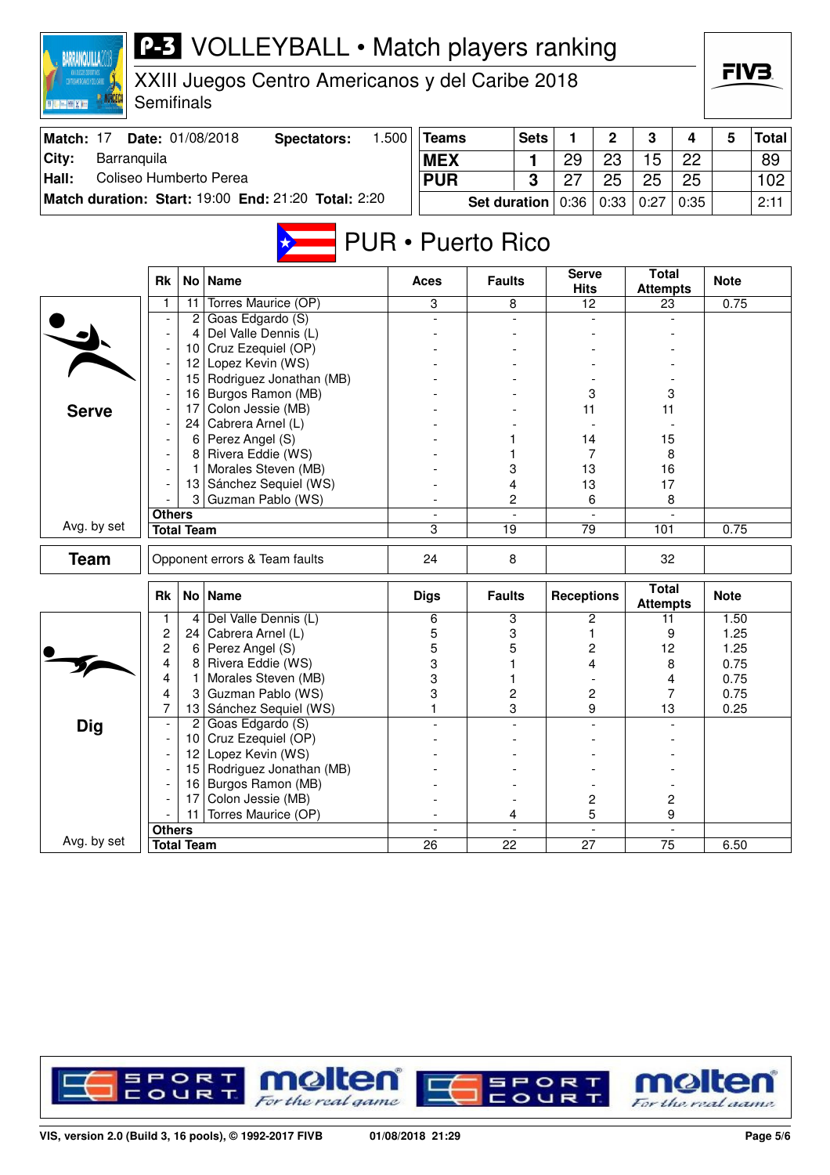| <b>P-3</b> VOLLEYBALL • Match players ranking<br><b>BARRANQUILLA</b> |                                                     |                       |                                                  |            |                                    |               |                     |                             |                         |                                 |                |              | FIV3.        |  |  |
|----------------------------------------------------------------------|-----------------------------------------------------|-----------------------|--------------------------------------------------|------------|------------------------------------|---------------|---------------------|-----------------------------|-------------------------|---------------------------------|----------------|--------------|--------------|--|--|
| TRANCHOLMOLOGICAL<br>回顾关键                                            | Semifinals                                          |                       | XXIII Juegos Centro Americanos y del Caribe 2018 |            |                                    |               |                     |                             |                         |                                 |                |              |              |  |  |
| Match: 17                                                            |                                                     |                       | 1.500<br>Date: 01/08/2018<br><b>Spectators:</b>  |            | <b>Teams</b>                       |               | <b>Sets</b>         | 1                           | 2                       | 3                               | 4              | 5            | <b>Total</b> |  |  |
| City:<br>Barranquila                                                 |                                                     |                       |                                                  | <b>MEX</b> |                                    |               | 1                   | 29                          | 23                      | 15                              | 22             |              | 89           |  |  |
| Coliseo Humberto Perea<br>Hall:                                      |                                                     |                       |                                                  |            | <b>PUR</b>                         |               | 3                   | 27                          | 25                      | 25                              | 25             |              | 102          |  |  |
|                                                                      | Match duration: Start: 19:00 End: 21:20 Total: 2:20 |                       |                                                  |            |                                    |               | <b>Set duration</b> | 0:36                        | 0:33                    | 0:27                            | 0:35           |              | 2:11         |  |  |
| <b>PUR</b> • Puerto Rico                                             |                                                     |                       |                                                  |            |                                    |               |                     |                             |                         |                                 |                |              |              |  |  |
|                                                                      | <b>Rk</b><br>No <sub>1</sub><br><b>Name</b>         |                       |                                                  |            |                                    |               | <b>Faults</b>       | <b>Serve</b><br><b>Hits</b> |                         | <b>Total</b><br><b>Attempts</b> |                | <b>Note</b>  |              |  |  |
|                                                                      | 1.                                                  | 11                    | Torres Maurice (OP)                              |            | 3                                  | 8             |                     | 12                          |                         | 23                              |                | 0.75         |              |  |  |
|                                                                      |                                                     | 2<br>4                | Goas Edgardo (S)<br>Del Valle Dennis (L)         |            |                                    |               |                     |                             |                         |                                 |                |              |              |  |  |
|                                                                      |                                                     | 10                    | Cruz Ezequiel (OP)                               |            |                                    |               |                     |                             |                         |                                 |                |              |              |  |  |
|                                                                      |                                                     | 12                    | Lopez Kevin (WS)                                 |            |                                    |               |                     |                             |                         |                                 |                |              |              |  |  |
|                                                                      |                                                     |                       | 15 Rodriguez Jonathan (MB)                       |            |                                    |               |                     |                             |                         |                                 |                |              |              |  |  |
|                                                                      |                                                     | 16                    | Burgos Ramon (MB)                                |            |                                    |               |                     | 3                           |                         | 3                               |                |              |              |  |  |
| <b>Serve</b>                                                         |                                                     | 17                    | Colon Jessie (MB)                                |            |                                    |               |                     | 11                          |                         | 11                              |                |              |              |  |  |
|                                                                      |                                                     | 24                    | Cabrera Arnel (L)                                |            |                                    |               |                     |                             |                         |                                 |                |              |              |  |  |
|                                                                      |                                                     | 6                     | Perez Angel (S)<br>Rivera Eddie (WS)             |            |                                    |               |                     | 14                          | 7                       | 15                              |                |              |              |  |  |
|                                                                      |                                                     | 8                     | Morales Steven (MB)                              |            |                                    | 3             |                     | 13                          |                         | 8<br>16                         |                |              |              |  |  |
|                                                                      |                                                     |                       | 13 Sánchez Sequiel (WS)                          |            |                                    | 4             |                     | 13                          |                         | 17                              |                |              |              |  |  |
|                                                                      |                                                     | 3                     | Guzman Pablo (WS)                                |            |                                    | 2             |                     | 6                           |                         | 8                               |                |              |              |  |  |
|                                                                      | <b>Others</b>                                       |                       |                                                  |            |                                    |               |                     |                             |                         |                                 |                |              |              |  |  |
| Avg. by set                                                          |                                                     | <b>Total Team</b>     |                                                  |            | 3                                  | 19            |                     | 79                          |                         | 101                             |                | 0.75         |              |  |  |
| <b>Team</b>                                                          |                                                     |                       | Opponent errors & Team faults                    |            | 24                                 | 8             |                     |                             |                         | 32                              |                |              |              |  |  |
|                                                                      | <b>Rk</b>                                           |                       | No   Name                                        |            | <b>Digs</b>                        | <b>Faults</b> |                     | <b>Receptions</b>           |                         | <b>Total</b><br><b>Attempts</b> |                | <b>Note</b>  |              |  |  |
|                                                                      | 1                                                   | 4                     | Del Valle Dennis (L)                             |            | 6                                  | 3             |                     |                             | 2                       | 11                              |                | 1.50         |              |  |  |
|                                                                      | $\overline{2}$<br>$\overline{c}$                    | 24<br>6               | Cabrera Arnel (L)                                |            | 5<br>5                             | 3             |                     |                             | 1                       | 9                               |                | 1.25         |              |  |  |
|                                                                      | 4                                                   | 8                     | Perez Angel (S)<br>Rivera Eddie (WS)             |            | 3                                  | 5<br>1        |                     |                             | $\overline{c}$<br>4     | 12                              | 8              | 1.25<br>0.75 |              |  |  |
|                                                                      | 4                                                   |                       | Morales Steven (MB)                              |            | 3                                  | 1             |                     |                             |                         |                                 | 4              | 0.75         |              |  |  |
|                                                                      | 4                                                   |                       | Guzman Pablo (WS)                                |            | 3                                  | 2             |                     |                             | 2                       |                                 | 7              | 0.75         |              |  |  |
|                                                                      | 7                                                   | 13                    | Sánchez Sequiel (WS)                             |            | 1                                  |               | 3                   |                             | 9                       | 13                              |                | 0.25         |              |  |  |
| <b>Dig</b>                                                           |                                                     | $\overline{c}$        | Goas Edgardo (S)                                 |            |                                    |               |                     |                             |                         |                                 |                |              |              |  |  |
|                                                                      |                                                     | 10 <sup>°</sup>       | Cruz Ezequiel (OP)                               |            |                                    |               |                     |                             |                         |                                 |                |              |              |  |  |
|                                                                      |                                                     | 12 <sub>2</sub>       | Lopez Kevin (WS)                                 |            |                                    |               |                     |                             |                         |                                 |                |              |              |  |  |
|                                                                      |                                                     | 15 <sub>1</sub><br>16 | Rodriguez Jonathan (MB)<br>Burgos Ramon (MB)     |            |                                    |               |                     |                             |                         |                                 |                |              |              |  |  |
|                                                                      |                                                     | 17                    | Colon Jessie (MB)                                |            |                                    |               |                     |                             | $\overline{\mathbf{c}}$ |                                 | 2              |              |              |  |  |
|                                                                      |                                                     | 11                    | Torres Maurice (OP)                              |            |                                    | 4             |                     |                             | 5                       |                                 | 9              |              |              |  |  |
|                                                                      | <b>Others</b>                                       |                       |                                                  |            | $\mathbf{r}$                       |               |                     |                             | $\omega$                |                                 | $\blacksquare$ |              |              |  |  |
| Avg. by set                                                          |                                                     | <b>Total Team</b>     |                                                  |            | $\overline{26}$<br>$\overline{22}$ |               |                     | $\overline{27}$             |                         | $\overline{75}$                 |                | 6.50         |              |  |  |